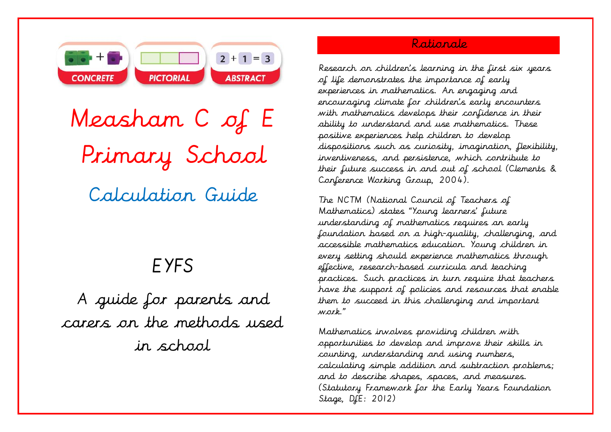

Measham C of E Primary School Calculation Guide

# EYFS

A guide for parents and carers on the methods used in school

## Rationale

Research on children's learning in the first six years of life demonstrates the importance of early experiences in mathematics. An engaging and encouraging climate for children's early encounters with mathematics develops their confidence in their ability to understand and use mathematics. These positive experiences help children to develop dispositions such as curiosity, imagination, flexibility, inventiveness, and persistence, which contribute to their future success in and out of school (Clements & Conference Working Group, 2004).

The NCTM (National Council of Teachers of Mathematics) states "Young learners' future understanding of mathematics requires an early foundation based on a high-quality, challenging, and accessible mathematics education. Young children in every setting should experience mathematics through effective, research-based curricula and teaching practices. Such practices in turn require that teachers have the support of policies and resources that enable them to succeed in this challenging and important work."

Mathematics involves providing children with opportunities to develop and improve their skills in counting, understanding and using numbers, calculating simple addition and subtraction problems; and to describe shapes, spaces, and measures. (Statutory Framework for the Early Years Foundation Stage, DfE: 2012)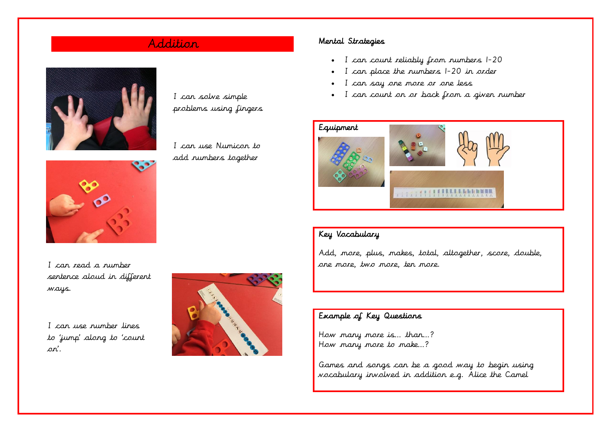I can solve simple problems using fingers

I can use Numicon to add numbers together





I can read a number sentence aloud in different ways.

I can use number lines to 'jump' along to 'count on'.



### Addition Mental Strategies

- I can count reliably from numbers 1-20
- I can place the numbers 1-20 in order
- I can say one more or one less
- I can count on or back from a given number



### Key Vocabulary

Add, more, plus, makes, total, altogether, score, double, one more, two more, ten more.

#### Example of Key Questions

How many more is… than…? How many more to make…?

Games and songs can be a good way to begin using vocabulary involved in addition e.g. Alice the Camel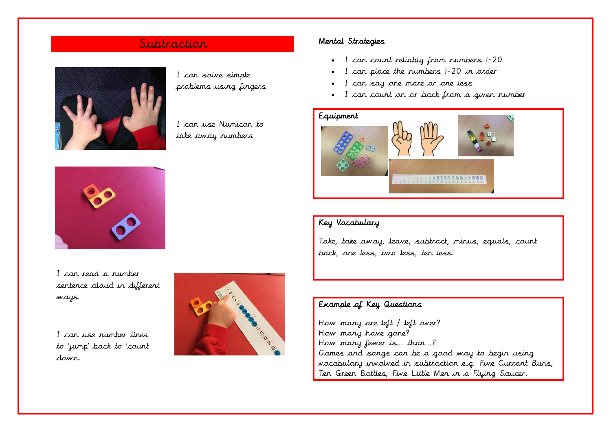## Subtraction Mental Strategies



I can solve simple problems using fingers

I can use Numicon to take away numbers



I can read a number sentence aloud in different ways.

I can use number lines to 'jump' back to 'count down.



- I can count reliably from numbers 1-20
- I can place the numbers 1-20 in order
- I can say one more or one less
- I can count on or back from a given number



### Key Vocabulary

Take, take away, leave, subtract, minus, equals, count back, one less, two less, ten less.

#### Example of Key Questions

How many are left / left over? How many have gone? How many fewer is… than…? Games and songs can be a good way to begin using vocabulary involved in subtraction e.g. Five Currant Buns, Ten Green Bottles, Five Little Men in a Flying Saucer.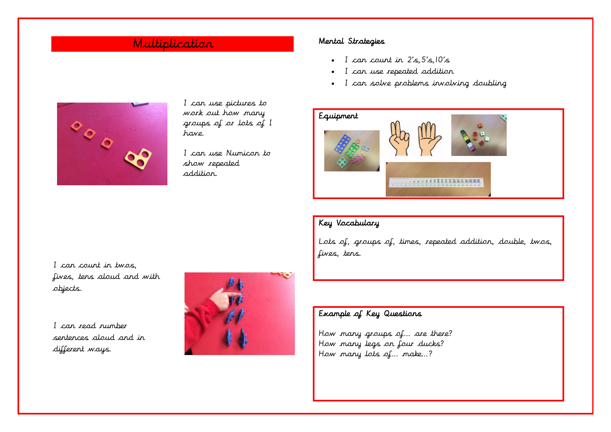## Multiplication Mental Strategies

- I can count in  $2's$ ,  $5's$ ,  $10's$
- I can use repeated addition
- I can solve problems involving doubling



I can use pictures to work out how many groups of or lots of I have.

I can use Numicon to show repeated addition.



### Key Vocabulary

Lots of, groups of, times, repeated addition, double, twos, fives, tens.

I can count in twos, fives, tens aloud and with objects.

I can read number sentences aloud and in different ways.



### Example of Key Questions

How many groups of… are there? How many legs on four ducks? How many lots of… make…?